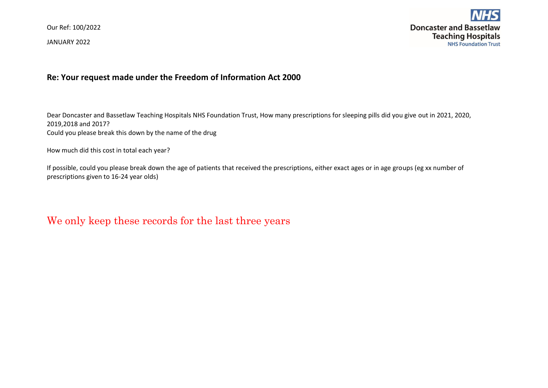Our Ref: 100/2022

JANUARY 2022



## **Re: Your request made under the Freedom of Information Act 2000**

Dear Doncaster and Bassetlaw Teaching Hospitals NHS Foundation Trust, How many prescriptions for sleeping pills did you give out in 2021, 2020, 2019,2018 and 2017? Could you please break this down by the name of the drug

How much did this cost in total each year?

If possible, could you please break down the age of patients that received the prescriptions, either exact ages or in age groups (eg xx number of prescriptions given to 16-24 year olds)

We only keep these records for the last three years